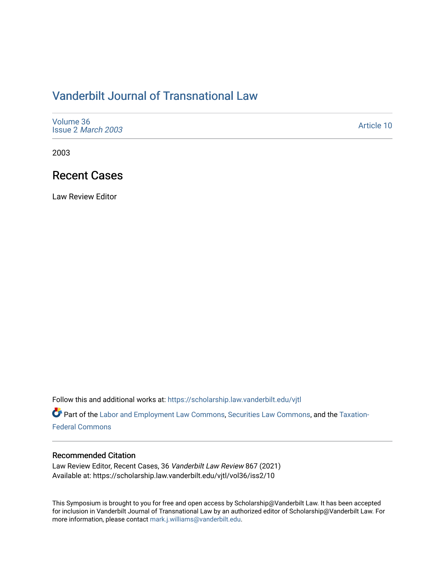# [Vanderbilt Journal of Transnational Law](https://scholarship.law.vanderbilt.edu/vjtl)

| Volume 36<br>Issue 2 March 2003 | Article 10 |
|---------------------------------|------------|
|---------------------------------|------------|

2003

# Recent Cases

Law Review Editor

Follow this and additional works at: [https://scholarship.law.vanderbilt.edu/vjtl](https://scholarship.law.vanderbilt.edu/vjtl?utm_source=scholarship.law.vanderbilt.edu%2Fvjtl%2Fvol36%2Fiss2%2F10&utm_medium=PDF&utm_campaign=PDFCoverPages) 

Part of the [Labor and Employment Law Commons](http://network.bepress.com/hgg/discipline/909?utm_source=scholarship.law.vanderbilt.edu%2Fvjtl%2Fvol36%2Fiss2%2F10&utm_medium=PDF&utm_campaign=PDFCoverPages), [Securities Law Commons](http://network.bepress.com/hgg/discipline/619?utm_source=scholarship.law.vanderbilt.edu%2Fvjtl%2Fvol36%2Fiss2%2F10&utm_medium=PDF&utm_campaign=PDFCoverPages), and the [Taxation-](http://network.bepress.com/hgg/discipline/881?utm_source=scholarship.law.vanderbilt.edu%2Fvjtl%2Fvol36%2Fiss2%2F10&utm_medium=PDF&utm_campaign=PDFCoverPages)[Federal Commons](http://network.bepress.com/hgg/discipline/881?utm_source=scholarship.law.vanderbilt.edu%2Fvjtl%2Fvol36%2Fiss2%2F10&utm_medium=PDF&utm_campaign=PDFCoverPages)

#### Recommended Citation

Law Review Editor, Recent Cases, 36 Vanderbilt Law Review 867 (2021) Available at: https://scholarship.law.vanderbilt.edu/vjtl/vol36/iss2/10

This Symposium is brought to you for free and open access by Scholarship@Vanderbilt Law. It has been accepted for inclusion in Vanderbilt Journal of Transnational Law by an authorized editor of Scholarship@Vanderbilt Law. For more information, please contact [mark.j.williams@vanderbilt.edu](mailto:mark.j.williams@vanderbilt.edu).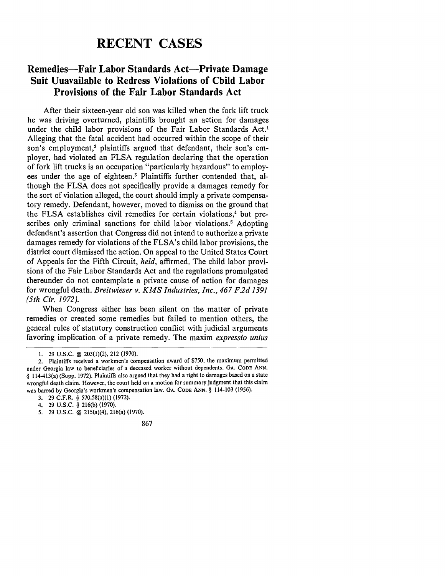# **RECENT CASES**

### **Remedies-Fair Labor Standards Act-Private Damage Suit Unavailable to Redress Violations of Child Labor Provisions of the Fair Labor Standards Act**

After their sixteen-year old son was killed when the fork lift truck he was driving overturned, plaintiffs brought an action for damages under the child labor provisions of the Fair Labor Standards Act.<sup>1</sup> Alleging that the fatal accident had occurred within the scope of their son's employment,<sup>2</sup> plaintiffs argued that defendant, their son's employer, had violated an **FLSA** regulation declaring that the operation of fork lift trucks is an occupation "particularly hazardous" to employees under the age of eighteen.3 Plaintiffs further contended that, although the **FLSA** does not specifically provide a damages remedy for the sort of violation alleged, the court should imply a private compensatory remedy. Defendant, however, moved to dismiss on the ground that the FLSA establishes civil remedies for certain violations,<sup>4</sup> but prescribes only criminal sanctions for child labor violations.<sup>5</sup> Adopting defendant's assertion that Congress did not intend to authorize a private damages remedy for violations of the FLSA's child labor provisions, the district court dismissed the action. On appeal to the United States Court of Appeals for the Fifth Circuit, *held,* affirmed. The child labor provisions of the Fair Labor Standards Act and the regulations promulgated thereunder do not contemplate a private cause of action for damages for wrongful death. *Breitwieser v. KMS Industries, Inc., 467 F.2d 1391 (5th Cir. 1972).*

When Congress either has been silent on the matter of private remedies or created some remedies but failed to mention others, the general rules of statutory construction conflict with judicial arguments favoring implication of a private remedy. The maxim *expressio unius*

**<sup>1.</sup>** 29 **U.S.C. §§** 203(l)(2), 212 (1970).

<sup>2.</sup> Plaintiffs received a workmen's compensation award of **\$750,** the maximum permitted under Georgia law to beneficiaries of a deceased worker without dependents. GA. **CODE ANN.** § 114-413(a) (Supp. 1972). Plaintiffs also argued that they had a right to damages based on a state wrongful death claim. However, the court held on a motion for summary judgment that this claim was barred by Georgia's workmen's compensation law. **GA. CODE ANN.** § 114-103 (1956).

**<sup>3.</sup>** 29 C.F.R. § 570.58(a)(1) (1972).

<sup>4. 29</sup> **U.S.C.** § 216(b) (1970).

**<sup>5.</sup>** 29 **U.S.C. §§** 215(a)(4), 216(a) (1970).

<sup>867</sup>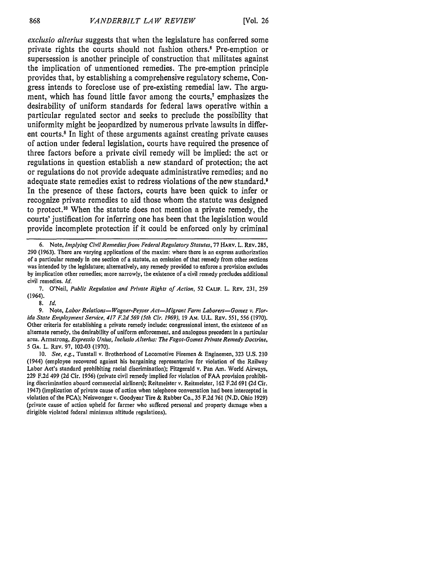*exclusio alterius* suggests that when the legislature has conferred some private rights the courts should not fashion others.' Pre-emption or supersession is another principle of construction that militates against the implication of unmentioned remedies. The pre-emption principle provides that, by establishing a comprehensive regulatory scheme, Congress intends to foreclose use of pre-existing remedial law. The argument, which has found little favor among the courts,<sup>7</sup> emphasizes the desirability of uniform standards for federal laws operative within a particular regulated sector and seeks to preclude the possibility that uniformity might be jeopardized by numerous private lawsuits in different courts.<sup>8</sup> In light of these arguments against creating private causes of action under federal legislation, courts have required the presence of three factors before a private civil remedy will be implied: the act or regulations in question establish a new standard of protection; the act or regulations do not provide adequate administrative remedies; and no adequate state remedies exist to redress violations of the new standard.<sup>9</sup> In the presence of these factors, courts have been quick to infer or recognize private remedies to aid those whom the statute was designed to protect.<sup>10</sup> When the statute does not mention a private remedy, the courts' justification for inferring one has been that the legislation would provide incomplete protection if it could be enforced only by criminal

8. *Id.*

<sup>6.</sup> Note, *Implying Civil Remedies from Federal Regulatory Statutes,* 77 HARV. L. REV. 285, 290 (1963). There are varying applications of the maxim: where there is an express authorization of a particular remedy in one section of a statute, an omission of that remedy from other sections was intended by the legislature; alternatively, any remedy provided to enforce a provision excludes by implication other remedies; more narrowly, the existence of a civil remedy precludes additional civil remedies. *Id.*

<sup>7.</sup> O'Neil, *Public Regulation and Private Rights of Action,* **52 CALIF.** L. REv. 231, 259 (1964).

<sup>9.</sup> Note, Labor Relations-Wagner-Peyser Act-Migrant Farm Laborers-Gomez v. Flor*ida State Employment Service, 417 F.2d 569 (5th Cir. 1969),* 19 **Am.** U.L. REV. **551,** 556 **(1970).** Other criteria for establishing a private remedy include: congressional intent, the existence of an alternate remedy, the desirability of uniform enforcement, and analogous precedent in a particular area. Armstrong, *Expressio Untus, Incluslo Alterius: The Fagot-Gomez Private Remedy Doctrine,* **5 GA.** L. REv. **97,** 102-03 (1970).

<sup>10.</sup> *See, e.g.,* Tunstall v. Brotherhood of Locomotive Firemen & Enginemen, 323 U.S. 210 (1944) (employee recovered against his bargaining representative for violation of the Railway Labor Act's standard prohibiting racial discrimination); Fitzgerald v. Pan Am. World Airways, 229 F.2d 499 (2d Cir. 1956) (private civil remedy implied for violation of FAA provision prohibiting discrimination aboard commercial airliners); Reitmeister v. Reitmeister, 162 F.2d 691 (2d Cir. 1947) (implication of private cause of action when telephone conversation had been intercepted in violation of the FCA); Neiswonger v. Goodyear Tire & Rubber Co., 35 F.2d 761 (N.D. Ohio 1929) (private cause of action upheld for farmer who suffered personal and property damage when a dirigible violated federal minimum altitude regulations).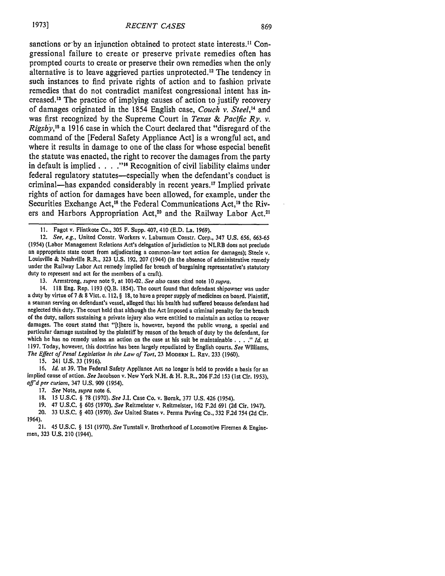sanctions or by an injunction obtained to protect state interests.<sup>11</sup> Congressional failure to create or preserve private remedies often has prompted courts to create or preserve their own remedies when the only alternative is to leave aggrieved parties unprotected.12 The tendency in such instances to find private rights of action and to fashion private remedies that do not contradict manifest congressional intent has increased.13 The practice of implying causes of action to justify recovery of damages originated in the 1854 English case, *Couch v. Steel,"* and was first recognized by the Supreme Court in *Texas & Pacific Ry. v. Rigsby,15* a 1916 case in which the Court declared that "disregard of the command of the [Federal Safety Appliance Act] is a wrongful act, and where it results in damage to one of the class for whose especial benefit the statute was enacted, the right to recover the damages from the party in default is implied **... .""t** Recognition of civil liability claims under federal regulatory statutes—especially when the defendant's conduct is criminal-has expanded considerably in recent years.<sup>17</sup> Implied private rights of action for damages have been allowed, for example, under the Securities Exchange Act,<sup>18</sup> the Federal Communications Act,<sup>19</sup> the Rivers and Harbors Appropriation Act,<sup>20</sup> and the Railway Labor Act.<sup>2</sup>

13. Armstrong, *supra* note 9, at 101-02. *See also* cases cited note *10 supra.*

14. 118 Eng. Rep. 1193 (Q.B. 1854). The court found that defendant shipowner was under a duty by virtue of 7 & 8 Vict. c. 112, § 18, to have a proper supply of medicines on board. Plaintiff, a seaman serving on defendant's vessel, alleged that his health had suffered because defendant had neglected this duty. The court held that although the Act imposed a criminal penalty for the breach of the duty, sailors sustaining a private injury also were entitled to maintain an action to recover damages. The court stated that "[t]here is, however, beyond the public wrong, a special and particular damage sustained by the plaintiff by reason of the breach of duty by the defendant, for which he has no remedy unless an action on the case at his suit be maintainable **....** " *Id.* at 1197. Today, however, this doctrine has been largely repudiated by English courts. *See* Williams, The Effect of Penal Legislation in the Law of Tort, 23 MODERN L. REV. 233 (1960).

**15.** 241 **U.S. 33 (1916).**

16. Id. at 39. The Federal Safety Appliance Act no longer is held to provide a basis for an implied cause of action. See Jacobson v. New York N.H. & H. R.R., 206 F.2d 153 (1st Cir. 1953). *aff'd per* curiam, 347 **U.S. 909** (1954).

- **17.** *See* Note, *supra* note **6.**
- **18. 15 U.S.C.** § **78 (1970).** *See* **J.I.** Case Co. v. Borak, **377 U.S.** 426 (1954).
- **19.** 47 **U.S.C.** § **605 (1970).** *See* Reitmeister v. Reitmeister, **162 F.2d 691 (2d** Cir. 1947).

20. **33 U.S.C.** § 403 **(1970).** *See* United States v. Perma Paving Co., **332 F.2d** 754 **(2d** Cir. 1964).

21. 45 U.S.C. § 151 (1970). *See* Tunstall v. Brotherhood of Locomotive Firemen & Enginemen, 323 U.S. 210 (1944).

**<sup>11.</sup>** Fagot v. Flintkote Co., 305 F. Supp. 407, 410 (E.D. La. 1969).

*<sup>12.</sup> See, e.g.,* United Constr. Workers v. Laburnum Constr. Corp., 347 U.S. 656, 663-65 (1954) (Labor Management Relations Act's delegation of jurisdiction to NLRB does not preclude an appropriate state court from adjudicating a common-law tort action for damages); Steele v. Louisville & Nashville R.R., 323 U.S. 192, 207 (1944) (in the absence of administrative remedy under the Railway Labor Act remedy implied for breach of bargaining representative's statutory duty to represent and act for the members of a craft).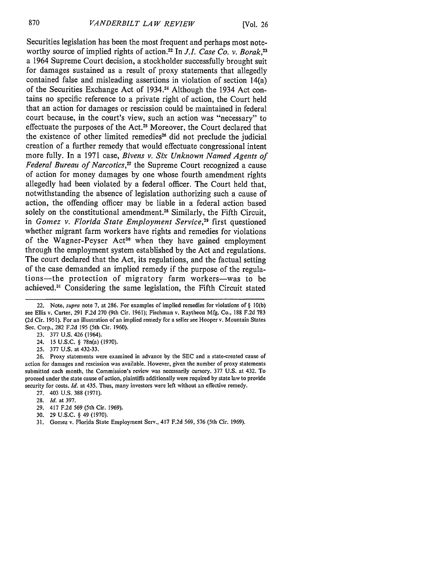Securities legislation has been the most frequent and perhaps most noteworthy source of implied rights of action.<sup>22</sup> In *J.I. Case Co. v. Borak*.<sup>23</sup> a 1964 Supreme Court decision, a stockholder successfully brought suit for damages sustained as a result of proxy statements that allegedly contained false and misleading assertions in violation of section 14(a) of the Securities Exchange Act of 1934.4 Although the 1934 Act contains no specific reference to a private right of action, the Court held that an action for damages or rescission could be maintained in federal court because, in the court's view, such an action was "necessary" to effectuate the purposes of the Act.<sup>25</sup> Moreover, the Court declared that the existence of other limited remedies<sup>26</sup> did not preclude the judicial creation of a further remedy that would effectuate congressional intent more fully. In a 1971 case, *Bivens v. Six Unknown Named Agents of Federal Bureau of Narcotics,"* the Supreme Court recognized a cause of action for money damages **by** one whose fourth amendment rights allegedly had been violated **by** a federal officer. The Court held that, notwithstanding the absence of legislation authorizing such a cause of action, the offending officer may be liable in a federal action based solely on the constitutional amendment.<sup>28</sup> Similarly, the Fifth Circuit, in *Gomez v. Florida State Employment Service,29* first questioned whether migrant farm workers have rights and remedies for violations of the Wagner-Peyser Act<sup>30</sup> when they have gained employment through the employment system established **by** the Act and regulations. The court declared that the Act, its regulations, and the factual setting of the case demanded an implied remedy if the purpose of the regulations-the protection of migratory farm workers-was to be achieved.<sup>31</sup> Considering the same legislation, the Fifth Circuit stated

- 24. 15 U.S.C. § 78n(a) (1970).
- 25. 377 U.S. at 432-33.

26. Proxy statements were examined in advance **by** the **SEC** and a state-created cause of action for damages and rescission was available. However, given the number of proxy statements submitted each month, the Commission's review was necessarily cursory. 377 U.S. at 432. To proceed under the state cause of action, plaintiffs additionally were required **by** state law to provide security for costs. *Id.* at 435. Thus, many investors were left without an effective remedy.

- **27.** 403 U.S. 388 (1971).
- **28.** *Id.* at 397.
- 29. 417 F.2d **569** (5th Cir. 1969).
- 30. 29 U.S.C. § 49 **(1970).**
- 31. Gomez v. Florida State Employment Serv., 417 F.2d 569, 576 (5th Cir. 1969).

<sup>22.</sup> **Note, supra note 7, at 286. For examples of implied remedies** for violations of § 10(b) see Ellis v. Carter, 291 F.2d 270 (9th Cir. 1961); Fischman v. Raytheon Mfg. Co., 188 F.2d 783 (2d Cir. 1951). For an illustration of an implied remedy for a seller see Hooper v. Mountain States Sec. Corp., 282 F.2d 195 (5th Cir. 1960).

<sup>23. 377</sup> U.S. 426 (1964).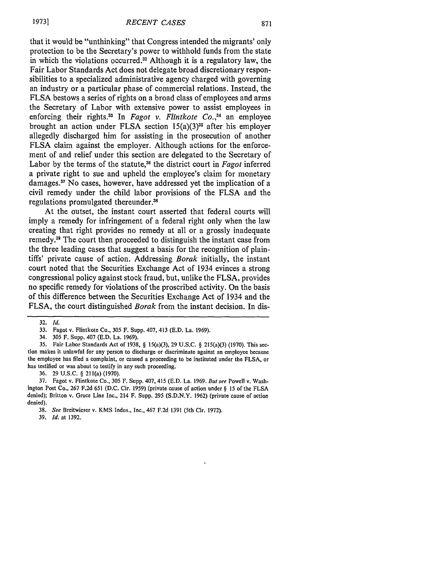that it would be "unthinking" that Congress intended the migrants' only protection to be the Secretary's power to withhold funds from the state in which the violations occurred.<sup>32</sup> Although it is a regulatory law, the Fair Labor Standards Act does not delegate broad discretionary responsibilities to a specialized administrative agency charged with governing an industry or a particular phase of commercial relations. Instead, the FLSA bestows a series of rights on a broad class of employees and arms the Secretary of Labor with extensive power to assist employees in enforcing their rights.<sup>33</sup> In *Fagot v. Flintkote Co.*,<sup>34</sup> an employee brought an action under FLSA section  $15(a)(3)^{35}$  after his employer allegedly discharged him for assisting in the prosecution of another FLSA claim against the employer. Although actions for the enforcement of and relief under this section are delegated to the Secretary of Labor by the terms of the statute,36 the district court in *Fagot* inferred a private right to sue and upheld the employee's claim for monetary damages.37 No cases, however, have addressed yet the implication of a civil remedy under the child labor provisions of the FLSA and the regulations promulgated thereunder.<sup>38</sup>

At the outset, the instant court asserted that federal courts will imply a remedy for infringement of a federal right only when the law creating that right provides no remedy at all or a grossly inadequate remedy.39 The court then proceeded to distinguish the instant case from the three leading cases that suggest a basis for the recognition of plaintiffs' private cause of action. Addressing *Borak* initially, the instant court noted that the Securities Exchange Act of 1934 evinces a strong congressional policy against stock fraud, but, unlike the FLSA, provides no specific remedy for violations of the proscribed activity. On the basis of this difference between the Securities Exchange Act of 1934 and the FLSA, the court distinguished *Borak* from the instant decision. In dis-

39. *Id.* at 1392.

<sup>32.</sup> *Id.*

<sup>33.</sup> Fagot v. Flintkote Co., 305 F. Supp. 407, 413 (E.D. La. 1969).

<sup>34. 305</sup> F. Supp. 407 (E.D. La. 1969).

<sup>35.</sup> Fair Labor Standards Act of 1938, § 15(a)(3), 29 U.S.C. § 215(a)(3) (1970). This section makes it unlawful for any person to discharge or discriminate against an employee because the employee has filed a complaint, or caused a proceeding to be instituted under the FLSA, or has testified or was about to testify in any such proceeding.

<sup>36. 29</sup> U.S.C. § 211(a) (1970).

<sup>37.</sup> Fagot v. Flintkote Co., 305 F. Supp. 407, 415 (E.D. La. 1969. But see Powell v. Washington Post Co., 267 F.2d 651 (D.C. Cir. 1959) (private cause of action under § 15 of the FLSA denied); Britton v. Grace Line Inc., 214 F. Supp. 295 (S.D.N.Y. 1962) (private cause of action denied).

<sup>38.</sup> *See* Breitwieser v. KMS Indus., Inc., 467 F.2d 1391 (5th Cir. 1972).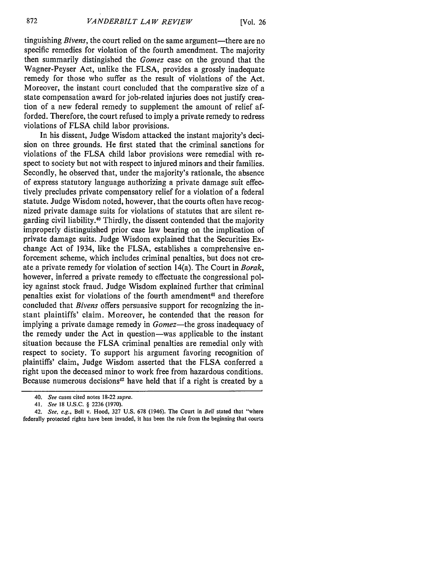tinguishing *Bivens*, the court relied on the same argument—there are no specific remedies for violation of the fourth amendment. The majority then summarily distingished the *Gomez* case on the ground that the Wagner-Peyser Act, unlike the FLSA, provides a grossly inadequate remedy for those who suffer as the result of violations of the Act. Moreover, the instant court concluded that the comparative size of a state compensation award for job-related injuries does not justify creation of a new federal remedy to supplement the amount of relief afforded. Therefore, the court refused to imply a private remedy to redress violations of FLSA child labor provisions.

In his dissent, Judge Wisdom attacked the instant majority's decision on three grounds. He first stated that the criminal sanctions for violations of the FLSA child labor provisions were remedial with respect to society but not with respect to injured minors and their families. Secondly, he observed that, under the majority's rationale, the absence of express statutory language authorizing a private damage suit effectively precludes private compensatory relief for a violation of a federal statute. Judge Wisdom noted, however, that the courts often have recognized private damage suits for violations of statutes that are silent regarding civil liability.<sup>40</sup> Thirdly, the dissent contended that the majority improperly distinguished prior case law bearing on the implication of private damage suits. Judge Wisdom explained that the Securities Exchange Act of 1934, like the FLSA, establishes a comprehensive enforcement scheme, which includes criminal penalties, but does not create a private remedy for violation of section 14(a). The Court in *Borak,* however, inferred a private remedy to effectuate the congressional policy against stock fraud. Judge Wisdom explained further that criminal penalties exist for violations of the fourth amendment<sup>41</sup> and therefore concluded that *Bivens* offers persuasive support for recognizing the instant plaintiffs' claim. Moreover, he contended that the reason for implying a private damage remedy in *Gomez-the* gross inadequacy of the remedy under the Act in question-was applicable to the instant situation because the FLSA criminal penalties are remedial only with respect to society. To support his argument favoring recognition of plaintiffs' claim, Judge Wisdom asserted that the FLSA conferred a right upon the deceased minor to work free from hazardous conditions. Because numerous decisions $42$  have held that if a right is created by a

<sup>40.</sup> *See* cases cited notes 18-22 *supra.*

<sup>41.</sup> *See* 18 U.S.C. § 2236 (1970).

<sup>42.</sup> *See, e.g.,* Bell v. Hood, 327 U.S. 678 (1946). The Court in *Bell* stated that "where federally protected rights have been invaded, it has been the rule from the beginning that courts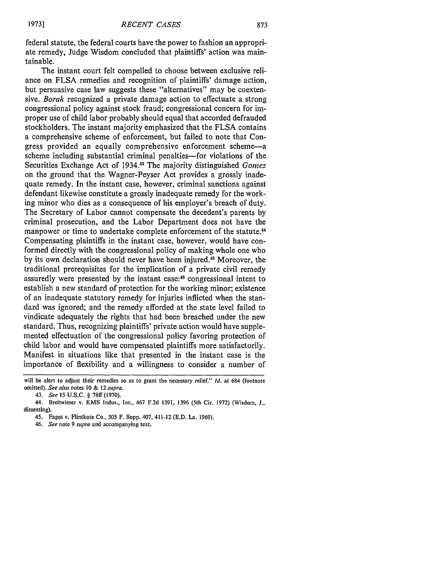federal statute, the federal courts have the power to fashion an appropriate remedy, Judge Wisdom concluded that plaintiffs' action was maintainable.

The instant court felt compelled to choose between exclusive reliance on FLSA remedies and recognition of plaintiffs' damage action, but persuasive case law suggests these "alternatives" may be coextensive. *Borak* recognized a private damage action to effectuate a strong congressional policy against stock fraud; congressional concern for improper use of child labor probably should equal that accorded defrauded stockholders. The instant majority emphasized that the FLSA contains a comprehensive scheme of enforcement, but failed to note that Congress provided an equally comprehensive enforcement scheme-a scheme including substantial criminal penalties—for violations of the Securities Exchange Act of 1934.13 The majority distinguished *Gomez* on the ground that the Wagner-Peyser Act provides a grossly inadequate remedy. In the instant case, however, criminal sanctions against defendant likewise constitute a grossly inadequate remedy for the working minor who dies as a consequence of his employer's breach of duty. The Secretary of Labor cannot compensate the decedent's parents by criminal prosecution, and the Labor Department does not have the manpower or time to undertake complete enforcement of the statute.<sup>44</sup> Compensating plaintiffs in the instant case, however, would have conformed directly with the congressional policy of making whole one who by its own declaration should never have been injured.45 Moreover, the traditional prerequisites for the implication of a private civil remedy assuredly were presented by the instant case:46 congressional intent to establish a new standard of protection for the working minor; existence of an inadequate statutory remedy for injuries inflicted when the standard was ignored; and the remedy afforded at the state level failed to vindicate adequately the rights that had been breached under the new standard. Thus, recognizing plaintiffs' private action would have supplemented effectuation of the congressional policy favoring protection of child labor and would have compensated plaintiffs more satisfactorily. Manifest in situations like that presented in the instant case is the importance of flexibility and a willingness to consider a number of

will be alert to adjust their remedies so as to grant the necessary relief." *Id.* at 684 (footnote omitted). *See also* notes **10** & 12 *supra.*

<sup>43.</sup> *See* 15 U.S.C. § 78ff (1970).

<sup>44.</sup> Breitwieser v. KMS Indus., Inc., 467 F.2d 1391, 1396 (5th Cir. 1972) (Wisdom, J., dissenting).

<sup>45.</sup> Fagot v. Flintkote Co., 305 F. Supp. 407, 411-12 (E.D. La. 1969).

<sup>46.</sup> *See* note 9 *supra* and accompanying text.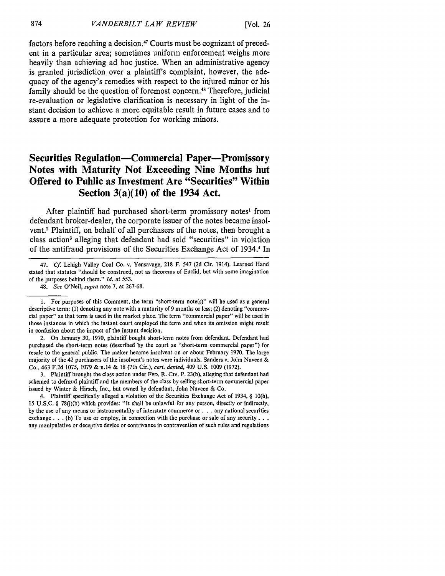factors before reaching a decision. 47 Courts must be cognizant of precedent in a particular area; sometimes uniform enforcement weighs more heavily than achieving ad hoc justice. When an administrative agency is granted jurisdiction over a plaintiff's complaint, however, the adequacy of the agency's remedies with respect to the injured minor or his family should be the question of foremost concern.<sup>48</sup> Therefore, judicial re-evaluation or legislative clarification is necessary in light of the instant decision to achieve a more equitable result in future cases and to assure a more adequate protection for working minors.

### **Securities Regulation-Commercial Paper-Promissory Notes with Maturity Not Exceeding Nine Months but Offered to Public as Investment Are "Securities" Within Section 3(a)(10) of the 1934 Act.**

After plaintiff had purchased short-term promissory notes' from defendant broker-dealer, the corporate issuer of the notes became insolvent.2 Plaintiff, on behalf of all purchasers of the notes, then brought a class action<sup>3</sup> alleging that defendant had sold "securities" in violation of the antifraud provisions of the Securities Exchange Act of 1934. In

3. Plaintiff brought the class action under **FED.** R. Civ. P. 23(b), alleging that defendant had schemed to defraud plaintiff and the members of the class by selling short-term commercial paper issued by Winter & Hirsch, Inc., but owned by defendant, John Nuveen & Co.

4. Plaintiff specifically alleged a violation of the Securities Exchange Act of 1934, § 10(b), 15 U.S.C. § 78(j)(b) which provides: "It shall be unlawful for any person, directly or indirectly, by the use of any means or instrumentality of interstate commerce **or. .** .any national securities exchange **. .** .(b) To use or employ, in connection with the purchase or sale of any security **. ..** any manipulative or deceptive device or contrivance in contravention of such rules and regulations

<sup>47.</sup> **Cf.** Lehigh Valley Coal Co. v. Yensavage, 218 F. 547 (2d Cir. 1914). Learned Hand stated that statutes "should be construed, not as theorems of Euclid, but with some imagination of the purposes behind them." *Id.* at **553.**

<sup>48.</sup> *See* O'Neil, *supra* note 7, at 267-68.

<sup>1.</sup> For purposes of this Comment, the term "short-term note(s)" will he used as a general descriptive term: **(1)** denoting any note with a maturity of 9 months or less; (2) denoting "commercial paper" as that term is used in the market place. The term "commercial paper" will be used in those instances in which the instant court employed the term and when its omission might result in confusion about the impact of the instant decision.

<sup>2.</sup> On January 30, 1970, plaintiff bought short-term notes from defendant. Defendant had purchased the short-term notes (described by the court as "short-term commercial paper") for resale to the general public. The maker became insolvent on or about February 1970. The large majority of the 42 purchasers of the insolvent's notes were individuals. Sanders v. John Nuveen & Co., 463 F.2d 1075, 1079 & n.14 & 18 (7th Cir.), *cert. denied,* 409 U.S. 1009 (1972).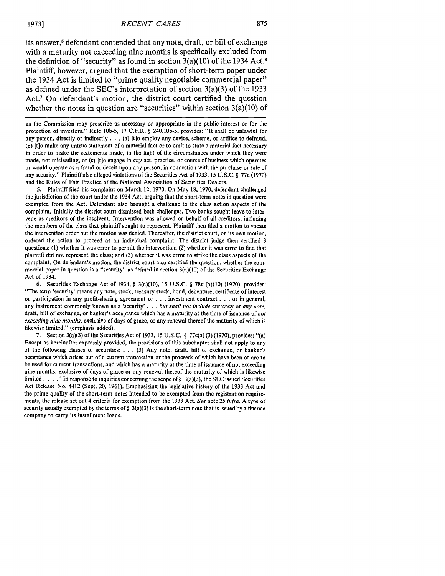its answer,<sup>5</sup> defendant contended that any note, draft, or bill of exchange with a maturity not exceeding nine months is specifically excluded from the definition of "security" as found in section  $3(a)(10)$  of the 1934 Act.<sup>6</sup> Plaintiff, however, argued that the exemption of short-term paper under the 1934 Act is limited to "prime quality negotiable commercial paper" as defined under the SEC's interpretation of section 3(a)(3) of the 1933 Act.7 On defendant's motion, the district court certified the question whether the notes in question are "securities" within section  $3(a)(10)$  of

as the Commission may prescribe as necessary or appropriate in the public interest or for the protection of investors." Rule 10b-5, 17 C.F.R. § 240.10b-5, provides: "It shall be unlawful for any person, directly or indirectly **. .** .(a) [t]o employ any device, scheme, or artifice to defraud, (b) [t]o make any untrue statement of a material fact or to omit to state a material fact necessary in order to make the statements made, in the light of the circumstances under which they were made, not misleading, or (c) [t]o engage in any act, practice, or course of business which operates or would operate as a fraud or deceit upon any person, in connection with the purchase or sale of any security." Plaintiff also alleged violations of the Securities Act of 1933, 15 U.S.C. § 77a (1970) and the Rules of Fair Practice of the National Association of Securities Dealers.

5. Plaintiff filed his complaint on March 12, 1970. On May 18, 1970, defendant challenged the jurisdiction of the court under the 1934 Act, arguing that the short-term notes in question were exempted from the Act. Defendant also brought a challenge to the class action aspects of the complaint. Initially the district court dismissed both challenges. Two banks sought leave to intervene as creditors of the insolvent. Intervention was allowed on behalf of all creditors, including the members of the class that plaintiff sought to represent. Plaintiff then filed a motion to vacate the intervention order but the motion was denied. Thereafter, the district court, on its own motion, ordered the action to proceed as an individual complaint. The district judge then certified 3 questions: (I) whether it was error to permit the intervention; (2) whether it was error to find that plaintiff did not represent the class; and (3) whether it was error to strike the class aspects of the complaint. On defendant's motion, the district court also certified the question: whether the commercial paper in question is a "security" as defined in section 3(a)(10) of the Securities Exchange Act of 1934.

6. Securities Exchange Act of 1934, § 3(a)(10), 15 U.S.C. § 78c (a)(10) (1970), provides: "The term 'security' means any note, stock, treasury stock, bond, debenture, certificate of interest or participation in any profit-sharing agreement or **. .** .investment contract **. . .** or in general, any instrument commonly known as a 'security' **. .** . but shall not include currency or any note, draft, bill of exchange, or banker's acceptance which has a maturity at the time of issuance of not *exceeding* nine months, exclusive of days of grace, or any renewal thereof the maturity of which is likewise limited." (emphasis added).

7. Section 3(a)(3) of the Securities Act of 1933, 15 U.S.C. § 77c(a) (3) (1970), provides: "(a) Except as hereinafter expressly provided, the provisions of this subchapter shall not apply to any of the following classes of securities: ...(3) Any note, draft, bill of exchange, or banker's acceptance which arises out of a current transaction or the proceeds of which have been or are to be used for current transactions, and which has a maturity at the time of issuance of not exceeding nine months, exclusive of days of grace or any renewal thereof the maturity of which is likewise limited . . . ." In response to inquiries concerning the scope of § 3(a)(3), the SEC issued Securities Act Release No. 4412 (Sept. 20, 1961). Emphasizing the legislative history of the 1933 Act and the prime quality of the short-term notes intended to be exempted from the registration requirements, the release set out 4 criteria for exemption from the 1933 Act. See note 25 infra. A type of security usually exempted by the terms of  $\S$  3(a)(3) is the short-term note that is issued by a finance company to carry its installment loans.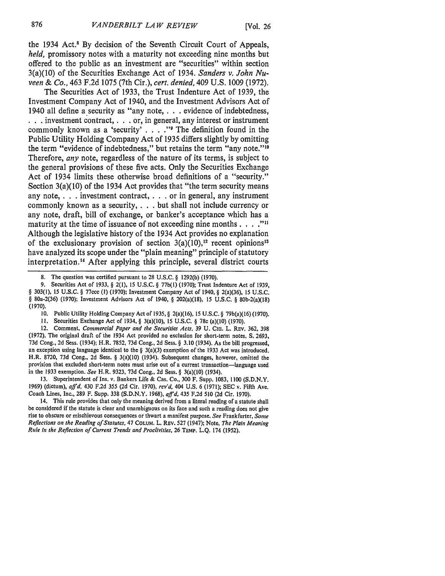the 1934 Act.8 By decision of the Seventh Circuit Court of Appeals, *held,* promissory notes with a maturity not exceeding nine months but offered to the public as an investment are "securities" within section 3(a)(10) of the Securities Exchange Act of 1934. *Sanders v. John Nuveen & Co.,* 463 F.2d 1075 (7th Cir.), *cert. denied,* 409 U.S. 1009 (1972).

The Securities Act of 1933, the Trust Indenture Act of 1939, the Investment Company Act of 1940, and the Investment Advisors Act of 1940 all define a security as "any note, **. . .** evidence of indebtedness, **. . .** investment contract, . . or, in general, any interest or instrument commonly known as a 'security' . **. . ."I** The definition found in the Public Utility Holding Company Act of 1935 differs slightly by omitting the term "evidence of indebtedness," but retains the term "any note."<sup>10</sup> Therefore, *any* note, regardless of the nature of its terms, is subject to the general provisions of these five acts. Only the Securities Exchange Act of 1934 limits these otherwise broad definitions of a "security." Section 3(a)(10) of the 1934 Act provides that "the term security means any note, **. . .** investment contract, **. . .** or in general, any instrument commonly known as a security, **. . .** but shall not include currency or any note, draft, bill of exchange, or banker's acceptance which has a maturity at the time of issuance of not exceeding nine months. **.. ."** Although the legislative history of the 1934 Act provides no explanation of the exclusionary provision of section  $3(a)(10)$ ,<sup>12</sup> recent opinions<sup>13</sup> have analyzed its scope under the "plain meaning" principle of statutory interpretation. 4 After applying this principle, several district courts

9. Securities Act of 1933, § 2(1), 15 U.S.C. § 77b(l) (1970); Trust Indenture Act of 1939, § 303(1), 15 U.S.C. § 77ccc (1) (1970); Investment Company Act of 1940, § 2(a)(36), **15** U.S.C. § 80a-2(36) (1970); Investment Advisors Act of 1940, § 202(a)(18), 15 U.S.C. § 80b-2(a)(18) (1970).

- 10. Public Utility Holding Company Act of 1935, § 2(a)(16), 15 U.S.C. § 79b(a)(16) (1970).
- **11.** Securities Exchange Act of 1934, § 3(a)(l0), 15 U.S.C. § **78c** (a)(10) (1970).

12. Comment, *Commercial Paper and the Securities Acts,* 39 U. CHI. L. REv. 362, 398 (1972). The original draft of the 1934 Act provided no exclusion for short-term notes. **S.** 2693, 73d Cong., 2d Sess. (1934); H.R. 7852, 73d Cong., 2d Sess. § 3.10 (1934). As the bill progressed, an exception using language identical to the § 3(a)(3) exemption of the 1933 Act was introduced. H.R. 8720, 73d Cong., 2d Sess. § 3(a)(10) (1934). Subsequent changes, however, omitted the provision that excluded short-term notes must arise out of a current transaction-language used in the 1933 exemption. *See* H.R. 9323, 73d Cong., 2d Sess. § 3(a)(10) (1934).

13. Superintendent of Ins. v. Bankers Life & Cas. Co., 300 F. Supp. 1083, 1100 (S.D.N.Y. 1969) (dictum), *affd,* 430 F.2d 355 (2d Cir. 1970), *rev'd,* 404 U.S. 6 (1971); SEC v. Fifth Ave. Coach Lines, Inc., 289 F. Supp. 338 (S.D.N.Y. 1968), *affd,* 435 F.2d 510 (2d Cir. 1970).

14. This rule provides that only the meaning derived from a literal reading of a statute shall be considered if the statute is clear and unambiguous on its face and such a reading does not give rise to obscure or mischievous consequences or thwart a manifest purpose. *See* Frankfurter, *Some Reflections on the Reading of Statutes,* 47 **COLUM.** L. REv. 527 (1947); Note, *The Plain Meaning Rule in the Reflection of Current Trends and Proclivities,* 26 TEMP. L.Q. 174 (1952).

<sup>8.</sup> The question was certified pursuant to 28 U.S.C. § 1292(b) (1970).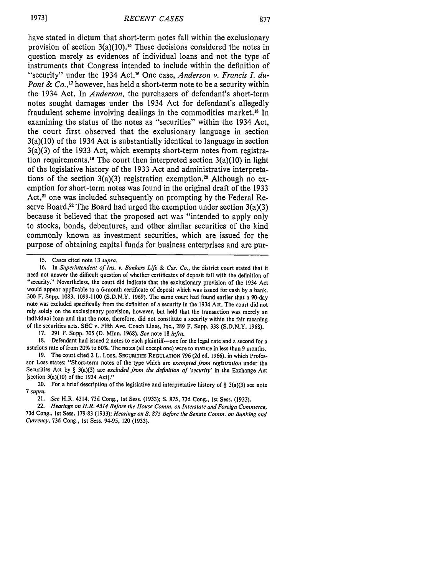have stated in dictum that short-term notes fall within the exclusionary provision of section  $3(a)(10)$ .<sup>15</sup> These decisions considered the notes in question merely as evidences of individual loans and not the type of instruments that Congress intended to include within the definition of "security" under the 1934 Act.16 One case, *Anderson v. Francis L du-Pont & Co.,17* however, has held a short-term note to be a security within the 1934 Act. In *Anderson,* the purchasers of defendant's short-term notes sought damages under the 1934 Act for defendant's allegedly fraudulent scheme involving dealings in the commodities market."8 In examining the status of the notes as "securities" within the 1934 Act, the court first observed that the exclusionary language in section 3(a)(10) of the 1934 Act is substantially identical to language in section 3(a)(3) of the 1933 Act, which exempts short-term notes from registration requirements.<sup>19</sup> The court then interpreted section  $3(a)(10)$  in light of the legislative history of the 1933 Act and administrative interpretations of the section  $3(a)(3)$  registration exemption.<sup>20</sup> Although no exemption for short-term notes was found in the original draft of the 1933 Act,<sup>21</sup> one was included subsequently on prompting by the Federal Reserve Board.<sup>22</sup> The Board had urged the exemption under section  $3(a)(3)$ because it believed that the proposed act was "intended to apply only to stocks, bonds, debentures, and other similar securities of the kind commonly known as investment securities, which are issued for the purpose of obtaining capital funds for business enterprises and are pur-

17. 291 F. Supp. **705 (D.** Minn. 1968). See note 18 infra.

18. Defendant had issued 2 notes to each plaintiff-one for the legal rate and a second for a usurious rate of from 20% to 60%. The notes (all except one) were to mature in less than 9 months.

19. The court cited 2 L. Loss, SECURITIES **REGULATION** 796 **(2d** ed. 1966), in which Professor Loss states: "Short-term notes of the type which are exempted from registration under the Securities Act by § 3(a)(3) **are** excluded from the definition of 'security' in the Exchange Act [section  $3(a)(10)$  of the 1934 Act]."

20. For a brief description of the legislative and interpretative history of  $\S$  3(a)(3) see note *7* supra.

22. Hearings on H.R. 4314 Before the House Comm. on Interstate and Foreign Commerce, 73d Cong., 1st Sess. 179-83 (1933); Hearings on S. **875** Before the Senate Comm. on Banking and Currency, 73d Cong., 1st Sess. 94-95, 120 (1933).

**<sup>15.</sup>** Cases cited note 13 supra.

<sup>16.</sup> In Superintendent of *Ins.* v. Bankers Life **&** Cas. Co., the district court stated that it need **not** answer **the** difficult question of whether certificates of deposit fall with the definition of "security." Nevertheless, the court did indicate that the exclusionary provision of the 1934 Act would appear applicable to a 6-month certificate of deposit which was issued for cash by a bank. **300** F. Supp. 1083, 1099-1100 (S.D.N.Y. 1969). The same court had found earlier that a 90-day note was excluded specifically from the definition of a security in the 1934 Act. The court did not rely solely on the exclusionary provision, however, but held that the transaction was merely an individual loan and that the note, therefore, did not constitute a security within the fair meaning of the securities acts. SEC v. Fifth Ave. Coach Lines, Inc., 289 F. Supp. 338 (S.D.N.Y. 1968).

<sup>21.</sup> See H.R. 4314, **73d** Cong., 1st Sess. (1933); **S.** 875, **73d** Cong., 1st Sess. (1933).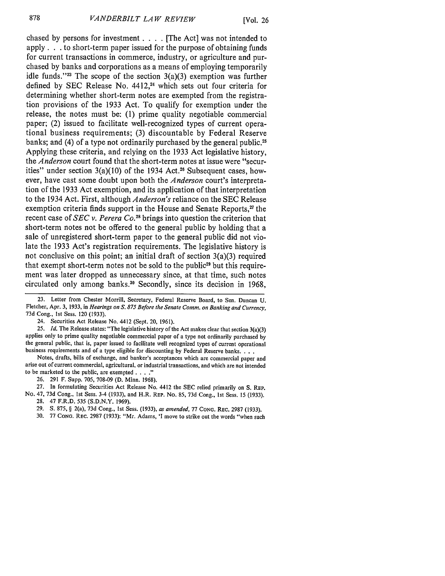chased **by** persons for investment **. . .** [The Act] was not intended to apply. **. .** to short-term paper issued for the purpose of obtaining funds for current transactions in commerce, industry, or agriculture and purchased **by** banks and corporations as a means of employing temporarily idle funds."<sup>23</sup> The scope of the section  $3(a)(3)$  exemption was further defined **by SEC** Release No. **4412,24** which sets out four criteria for determining whether short-term notes are exempted from the registration provisions of the **1933** Act. To qualify for exemption under the release, the notes must be: **(1)** prime quality negotiable commercial paper; (2) issued to facilitate well-recognized types of current operational business requirements; **(3)** discountable **by** Federal Reserve banks; and (4) of a type not ordinarily purchased by the general public.<sup>25</sup> Applying these criteria, and relying on the **1933** Act legislative history, the *Anderson* court found that the short-term notes at issue were "securities" under section  $3(a)(10)$  of the 1934 Act.<sup>26</sup> Subsequent cases, however, have cast some doubt upon both the *Anderson* court's interpretation of the **1933** Act exemption, and its application of that interpretation to the 1934 Act. First, although *Anderson's* reliance on the **SEC** Release exemption criteria finds support in the House and Senate Reports,<sup>27</sup> the recent case of *SEC v. Perera Co. <sup>2</sup> <sup>8</sup>*brings into question the criterion that short-term notes not be offered to the general public **by** holding that a sale of unregistered short-term paper to the general public did not violate the **1933** Act's registration requirements. The legislative history is not conclusive on this point; an initial draft of section 3(a)(3) required that exempt short-term notes not be sold to the public<sup>29</sup> but this requirement was later dropped as unnecessary since, at that time, such notes circulated only among banks. 0 Secondly, since its decision in **1968,**

**25.** *Id.* The Release states: "The legislative history of the Act makes clear that section 3(a)(3) applies only to prime quality negotiable commercial paper of a type not ordinarily purchased **by** the general public, that is, paper issued to facilitate well recognized types of current operational business requirements and of a type eligible for discounting **by** Federal Reserve banks. **...**

Notes, drafts, bills of exchange, and banker's acceptances which are commercial paper and arise out of current commercial, agricultural, or industrial transactions, and which are not intended to be marketed to the public, are exempted **.... "**

26. 291 F. Supp. **705,** 708-09 (D. Minn. 1968).

27. In formulating Securities Act Release No. 4412 the SEC relied primarily on S. REP. No. 47, 73d Cong., **1st** Sess. 3-4 (1933), and H.R. REP. No. **85,** 73d Cong., **Ist** Sess. 15 (1933). 28. 47 F.R.D. 535 (S.D.N.Y. 1969).

29. S. **875,** § 2(a), **73d** Cong., **1st** Sess. (1933), *as amended,* 77 **CONG.** REc. 2987 (1933).

30. 77 **CONG.** REC. 2987 (1933): "Mr. Adams, 'I move to strike out the words "when such

<sup>23.</sup> Letter from Chester Morrill, Secretary, Federal Reserve Board, to Sen. Duncan U. Fletcher, Apr. 3, 1933, in *Hearings on S. 875 Before the Senate Comm. on Banking and Currency,* 73d Cong., **1st** Sess. 120 (1933).

<sup>24.</sup> Securities Act Release No. 4412 (Sept. 20, 1961).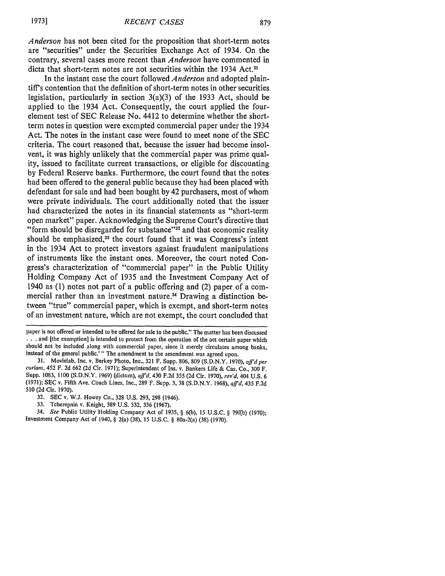*Anderson* has not been cited for the proposition that short-term notes are "securities" under the Securities Exchange Act of 1934. On the contrary, several cases more recent than *Anderson* have commented in dicta that short-term notes are not securities within the 1934 **Act.3 <sup>1</sup>**

In the instant case the court followed *Anderson* and adopted plaintiff's contention that the definition of short-term notes in other securities legislation, particularly in section 3(a)(3) of the 1933 Act, should be applied to the 1934 Act. Consequently, the court applied the fourelement test of SEC Release No. 4412 to determine whether the shortterm notes in question were exempted commercial paper under the 1934 Act. The notes in the instant case were found to meet none of the SEC criteria. The court reasoned that, because the issuer had become insolvent, it was highly unlikely that the commercial paper was prime quality, issued to facilitate current transactions, or eligible for discounting by Federal Reserve banks. Furthermore, the court found that the notes had been offered to the general public because they had been placed with defendant for sale and had been bought by 42 purchasers, most of whom were private individuals. The court additionally noted that the issuer had characterized the notes in its financial statements as "short-term open market" paper. Acknowledging the Supreme Court's directive that "form should be disregarded for substance"<sup>32</sup> and that economic reality should be emphasized,<sup>33</sup> the court found that it was Congress's intent in the 1934 Act to protect investors against fraudulent manipulations of instruments like the instant ones. Moreover, the court noted Congress's characterization of "commercial paper" in the Public Utility Holding Company Act of 1935 and the Investment Company Act of 1940 as (1) notes not part of a public offering and (2) paper of a commercial rather than an investment nature.<sup>34</sup> Drawing a distinction between "true" commercial paper, which is exempt, and short-term notes of an investment nature, which are not exempt, the court concluded that

33. Tcherepnin v. Knight, 389 U.S. 332, 336 (1967).

34. *See* Public Utility Holding Company Act of 1935, § 6(b), 15 U.S.C. § 79f(b) (1970); Investment Company Act of 1940, § 2(a) (38), 15 U.S.C. § 80a-2(a) (38) (1970).

paper is not offered or intended to be offered for sale to the public." The matter has been discussed **.. .**and [the exemption] is intended to protect from the operation of the act certain paper which should not be included along with commercial paper, since it merely circulates among banks, instead of the general public.'" The amendment to the amendment was agreed upon.

**<sup>31.</sup>** Movielab, Inc. v. Berkey Photo, Inc., 321 F. Supp. 806, 809 (S.D.N.Y. 1970), *affd per curiam,* 452 F. 2d 662 (2d Cir. 1971); Superintendent of Ins. v. Bankers Life & Cas. Co., 300 F. Supp. 1083, 1100 (S.D.N.Y. 1969) (dictum), *affd,* 430 F.2d **355** (2d Cir. 1970), *rev'd,* 404 U.S. 6 (1971); SEC v. Fifth Ave. Coach Lines, Inc., 289 F. Supp. 3, 38 (S.D.N.Y. 1968), **aff'd,** 435 F.2d 510 (2d Cir. 1970).

<sup>32.</sup> SEC v. W.J. Howey Co., 328 U.S. 293, 298 (1946).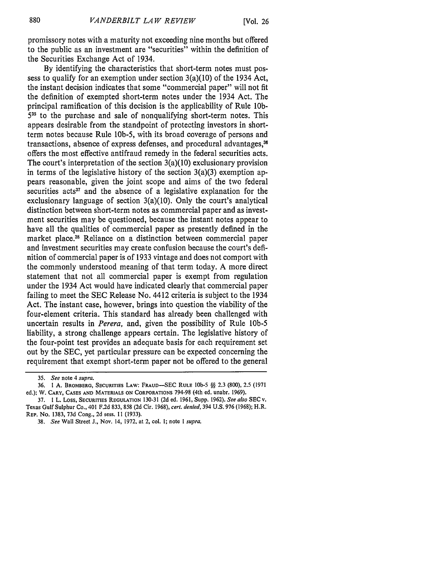promissory notes with a maturity not exceeding nine months but offered to the public as an investment are "securities" within the definition of the Securities Exchange Act of 1934.

By identifying the characteristics that short-term notes must possess to qualify for an exemption under section 3(a)(10) of the 1934 Act, the instant decision indicates that some "commercial paper" will not fit the definition of exempted short-term notes under the 1934 Act. The principal ramification of this decision is the applicability of Rule **lOb-**535 to the purchase and sale of nonqualifying short-term notes. This appears desirable from the standpoint of protecting investors in shortterm notes because Rule lOb-5, with its broad coverage of persons and transactions, absence of express defenses, and procedural advantages,<sup>36</sup> offers the most effective antifraud remedy in the federal securities acts. The court's interpretation of the section 3(a)(10) exclusionary provision in terms of the legislative history of the section  $3(a)(3)$  exemption appears reasonable, given the joint scope and aims of the two federal securities acts<sup>37</sup> and the absence of a legislative explanation for the exclusionary language of section 3(a)(10). Only the court's analytical distinction between short-term notes as commercial paper and as investment securities may be questioned, because the instant notes appear to have all the qualities of commercial paper as presently defined in the market place.<sup>38</sup> Reliance on a distinction between commercial paper and investment securities may create confusion because the court's definition of commercial paper is of 1933 vintage and does not comport with the commonly understood meaning of that term today. A more direct statement that not all commercial paper is exempt from regulation under the 1934 Act would have indicated clearly that commercial paper failing to meet the SEC Release No. 4412 criteria is subject to the 1934 Act. The instant case, however, brings into question the viability of the four-element criteria. This standard has already been challenged with uncertain results in *Perera,* and, given the possibility of Rule **lOb-5** liability, a strong challenge appears certain. The legislative history of the four-point test provides an adequate basis for each requirement set out by the SEC, yet particular pressure can be expected concerning the requirement that exempt short-term paper not be offered to the general

<sup>35.</sup> *See* note 4 *supra.*

**<sup>36. 1</sup> A.** BROMBERG, SECURITIES LAW: **FRAUD-SEC** RULE **lb-5 §§ 2.3** (800), **2.5** (1971 ed.); W. CARY, **CASES AND** MATERIALS **ON** CORPORATIONS 794-98 (4th ed. unabr. 1969).

**<sup>37. 1</sup>** L. Loss, **SECURITIES REGULATION** 130-31 (2d ed. **1961,** Supp. **1962).** *See also* SEC v. **Texas** Gulf Sulphur Co., 401 **F.2d 833,** 858 **(2d** Cir. **1968),** *cert. denied,* 394 **U.S. 976 (1968);** H.R. **REP. No. 1383, 73d Cong., 2d sess. 11 (1933).**

**<sup>38.</sup>** *See* Wall Street **J., Nov.** 14, **1972, at** 2, **col. 1; note 1** *supra.*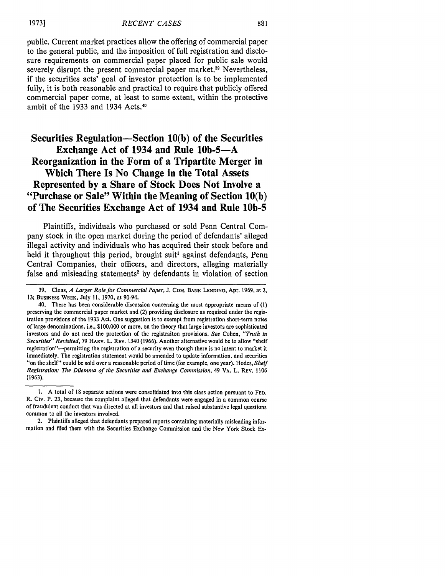public. Current market practices allow the offering of commercial paper to the general public, and the imposition of full registration and disclosure requirements on commercial paper placed for public sale would severely disrupt the present commercial paper market.<sup>39</sup> Nevertheless, if the securities acts' goal of investor protection is to be implemented fully, it is both reasonable and practical to require that publicly offered commercial paper come, at least to some extent, within the protective ambit of the 1933 and 1934 Acts.<sup>40</sup>

# **Securities Regulation-Section 10(b) of the Securities Exchange Act of 1934 and Rule 10b-5-A Reorganization in the Form of a Tripartite Merger in Which There Is No Change in the Total Assets Represented by a Share of Stock Does Not Involve a "Purchase or Sale" Within the Meaning of Section 10(b) of The Securities Exchange Act of 1934 and Rule 10b-5**

Plaintiffs, individuals who purchased or sold Penn Central Company stock in the open market during the period of defendants' alleged illegal activity and individuals who has acquired their stock before and held it throughout this period, brought suit<sup>1</sup> against defendants, Penn Central Companies, their officers, and directors, alleging materially false and misleading statements<sup>2</sup> by defendants in violation of section

**<sup>39.</sup>** Cloas, *A Larger Role for Commercial Paper,* **J. CoM.** BANK **LENDING, Apr. 1969,** at 2, **13;** BusINESS WEEK, **July !1, 1970,** at 90-94.

<sup>40.</sup> There has been considerable discussion concerning the most appropriate means of **(1)** preserving the commercial paper market and (2) providing disclosure as required under the registration provisions of the **1933** Act. One suggestion is to exempt from registration short-term notes of large denominations, i.e., **\$100,000** or more, on the theory that large investors are sophisticated investors and do not need the protection of the registraiton provisions. *See* Cohen, *"Truth in Securities" Revisited,* **79** HARV. L. REV. 1340 **(1966).** Another alternative would be to allow "shelf registration"-permitting the registration of a security even though there is no intent to market it immediately. The registration statement would **be** amended to update information, and securities "on the shelr" could be sold over a reasonable period of time (for example, one year). Hodes, *Shelf Registration: The Dilemma of the Securities and Exchange Commission,* 49 VA. L. **REV. <sup>1106</sup>** (1963).

**<sup>1.</sup>** A total of **18** separate actions were consolidated into this class action pursuant to **FED.** R. Civ. P. 23, because the complaint alleged that defendants were engaged in a common course of fraudulent conduct that was directed at all investors and that raised substantive legal questions common to all the investors involved.

<sup>2.</sup> Plaintiffs alleged that defendants prepared reports containing materially misleading information and filed them with the Securities Exchange Commission and the New York Stock Ex-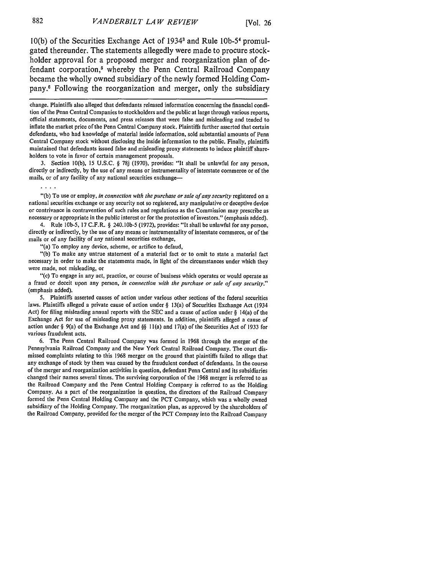**10(b)** of the Securities Exchange Act of 19341 and Rule **lOb-5 <sup>4</sup>**promulgated thereunder. The statements allegedly were made to procure stockholder approval for a proposed merger and reorganization plan of defendant corporation,<sup>5</sup> whereby the Penn Central Railroad Company became the wholly owned subsidiary of the newly formed Holding Company.6 Following the reorganization and merger, only the subsidiary

change. Plaintiffs also alleged that defendants released information concerning the financial condition of the Penn Central Companies to stockholders and the public at large through various reports, official statements, documents, and press releases that were false and misleading and tended to inflate the market price of the Penn Central Company stock. Plaintiffs further asserted that certain defendants, who had knowledge of material inside information, sold substantial amounts of Penn Central Company stock without disclosing the inside information to the public. Finally, plaintiffs maintained that defendants issued false and misleading proxy statements to induce plaintiff shareholders to vote in favor of certain management proposals.

3. Section 10(b), 15 U.S.C. § 78j (1970), provides: "It shall be unlawful for any person, directly or indirectly, by the use of any means or instrumentality of interstate commerce or of the mails, or of any facility of any national securities exchange-

"(b) To use or employ, *in connection with the purchase or sale of any security* registered on a national securities exchange or any security not so registered, any manipulative or deceptive device or contrivance in contravention of such rules and regulations as the Commission may prescribe as necessary or appropriate in the public interest or for the protection of investors." (emphasis added).

4. Rule I0b-5, 17 C.F.R. § 240.10b-5 (1972), provides: "It shall be unlawful for any person, directly or indirectly, by the use of any means or instrumentality of interstate commerce, or of the mails or of any facility of any national securities exchange,

"(a) To employ any device, scheme, or artifice to defaud,

"(b) To make any untrue statement of a material fact or to omit to state a material fact necessary in order to make the statements made, in light of the circumstances under which they were made, not misleading, or

"(c) To engage in any act, practice, or course of business which operates or would operate as a fraud or deceit upon any person, *in connection with the purchase or sale of any security."* (emphasis added).

5. Plaintiffs asserted causes of action under various other sections of the federal securities laws. Plaintiffs alleged a private cause of action under § 13(a) of Securities Exchange Act (1934 Act) for filing misleading annual reports with the SEC and a cause of action under  $\S$  14(a) of the Exchange Act for use of misleading proxy statements. In addition, plaintiffs alleged a cause of action under § 9(a) of the Exchange Act and **§§** 1 (a) and 17(a) of the Securities Act of 1933 for various fraudulent acts.

6. The Penn Central Railroad Company was formed in 1968 through the merger of the Pennsylvania Railroad Company and the New York Central Railroad Company. The court dismissed complaints relating to this 1968 merger on the ground that plaintiffs failed to allege that any exchange of stock by them was caused by the fraudulent conduct of defendants. In the course of the merger and reorganization activities in question, defendant Penn Central and its subsidiaries changed their names several times. The surviving corporation of the 1968 merger is referred to as the Railroad Company and the Penn Central Holding Company is referred to as the Holding Company. As a part of the reorganization in question, the directors of the Railroad Company formed the Penn Central Holding Company and the PCT Company, which was a wholly owned subsidiary of the Holding Company. The reorganization plan, as approved by the shareholders of the Railroad Company, provided for the merger of the PCT Company into the Railroad Company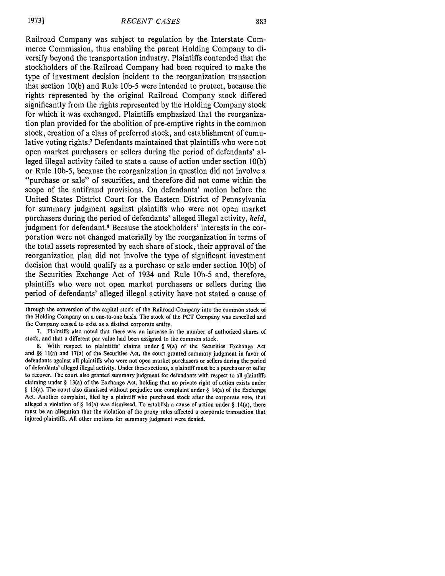Railroad Company was subject to regulation by the Interstate Commerce Commission, thus enabling the parent Holding Company to diversify beyond the transportation industry. Plaintiffs contended that the stockholders of the Railroad Company had been required to make the type of investment decision incident to the reorganization transaction that section 10(b) and Rule **lOb-5** were intended to protect, because the rights represented by the original Railroad Company stock differed significantly from the rights represented by the Holding Company stock for which it was exchanged. Plaintiffs emphasized that the reorganization plan provided for the abolition of pre-emptive rights in the common stock, creation of a class of preferred stock, and establishment of cumulative voting rights.7 Defendants maintained that plaintiffs who were not open market purchasers or sellers during the period of defendants' alleged illegal activity failed to state a cause of action under section 10(b) or Rule 1Ob-5, because the reorganization in question did not involve a "purchase or sale" of securities, and therefore did not come within the scope of the antifraud provisions. On defendants' motion before the United States District Court for the Eastern District of Pennsylvania for summary judgment against plaintiffs who were not open market purchasers during the period of defendants' alleged illegal activity, *held,* judgment for defendant.<sup>8</sup> Because the stockholders' interests in the corporation were not changed materially by the reorganization in terms of the total assets represented by each share of stock, their approval of the reorganization plan did not involve the type of significant investment decision that would qualify as a purchase or sale under section 10(b) of the Securities Exchange Act of 1934 and Rule **lOb-5** and, therefore, plaintiffs who were not open market purchasers or sellers during the period of defendants' alleged illegal activity have not stated a cause of

through the conversion of the capital stock of the Railroad Company into the common stock of the Holding Company on a one-to-one basis. The stock of the PCT Company was cancelled and the Company ceased to exist as a distinct corporate entity.

<sup>7.</sup> Plaintiffs also noted that there was an increase in the number of authorized shares of stock, and that a different par value had been assigned to the common stock.

<sup>8.</sup> With respect to plaintiffs' claims under § 9(a) of the Securities Exchange Act and **§§ I** I(a) and 17(a) of the Securities Act, the court granted summary judgment in favor of defendants against all plaintiffs who were not open market purchasers or sellers during the period of defendants' alleged illegal activity. Under these sections, a plaintiff must be a purchaser or seller to recover. The court also granted summary judgment for defendants with respect to all plaintiffs claiming under § 13(a) of the Exchange Act, holding that no private right of action exists under  $\S$  13(a). The court also dismissed without prejudice one complaint under  $\S$  14(a) of the Exchange Act. Another complaint, filed by a plaintiff who purchased stock after the corporate vote, that alleged a violation of § 14(a) was dismissed. To establish a cause of action under § 14(a), there must be an allegation that the violation of the proxy rules affected a corporate transaction that injured plaintiffs. All other motions for summary judgment were denied.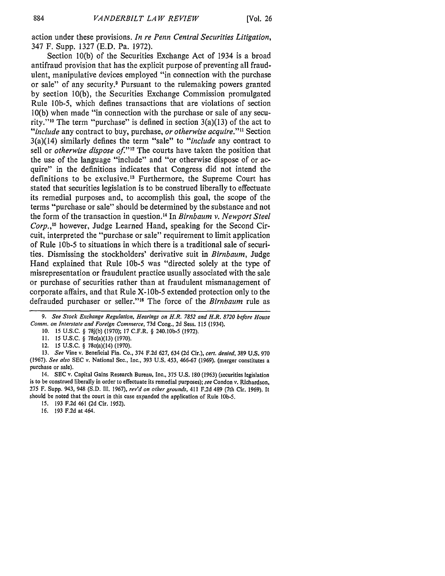action under these provisions. *In re Penn Central Securities Litigation,* 347 F. Supp. 1327 (E.D. Pa. 1972).

Section 10(b) of the Securities Exchange Act of 1934 is a broad antifraud provision that has the explicit purpose of preventing all fraudulent, manipulative devices employed "in connection with the purchase or sale" of any security? Pursuant to the rulemaking powers granted by section 10(b), the Securities Exchange Commission promulgated Rule lOb-5, which defines transactions that are violations of section 10(b) when made "in connection with the purchase or sale of any security."<sup>10</sup> The term "purchase" is defined in section  $3(a)(13)$  of the act to *"include* any contract to buy, purchase, *or otherwise acquire.""* Section 3(a)(14) similarly defines the term "sale" to *"include* any contract to sell or *otherwise dispose of.*"<sup>12</sup> The courts have taken the position that the use of the language "include" and "or otherwise dispose of or acquire" in the definitions indicates that Congress did not intend the definitions to be exclusive.<sup>13</sup> Furthermore, the Supreme Court has stated that securities legislation is to be construed liberally to effectuate its remedial purposes and, to accomplish this goal, the scope of the terms "purchase or sale" should be determined by the substance and not the form of the transaction in question. 4 In *Birnbaum v. Newport Steel Corp.,15* however, Judge Learned Hand, speaking for the Second Circuit, interpreted the "purchase or sale" requirement to limit application of Rule **lOb-5** to situations in which there is a traditional sale of securities. Dismissing the stockholders' derivative suit in *Birnbaum,* Judge Hand explained that Rule **lOb-5** was "directed solely at the type of misrepresentation or fraudulent practice usually associated with the sale or purchase of securities rather than at fraudulent mismanagement of corporate affairs, and that Rule X-1Ob-5 extended protection only to the defrauded purchaser or seller."<sup>16</sup> The force of the *Birnbaum* rule as

**11.** 15 U.S.C. § 78c(a)(13) (1970).

12. 15 U.S.C. § 78c(a)(14) (1970).

13. *See* Vine v. Beneficial Fin. Co., 374 F.2d 627, 634 (2d Cir.), *cert. denied,* 389 U.S. 970 (1967). *See also* **SEC** v. National Sec., Inc., 393 **U.S.** 453, 466-67 (1969). (merger constitutes a purchase or sale).

14. SEC v. Capital Gains Research Bureau, Inc., 375 U.S. 180 (1963) (securities legislation is to be construed liberally in order to effectuate its remedial purposes); *see* Condon v. Richardson, 275 F. Supp. 943, 948 (S.D. Ill. 1967), *rev'd on other grounds,* 411 F.2d 489 (7th Cir. 1969). It should be noted that the court in this case expanded the application of Rule **10b-5.**

16. 193 F.2d at 464.

*<sup>9.</sup> See Stock Exchange Regulation, Hearings on H.R. 7852 and H.R. 8720 before House Comm. on Interstate and Foreign Commerce,* 73d Cong., 2d Sess. 115 (1934).

*<sup>10.</sup>* 15 U.S.C. § 78j(b) (1970); 17 C.F.R. § 240.10b-5 (1972).

*<sup>15.</sup>* 193 F.2d 461 (2d Cir. 1952).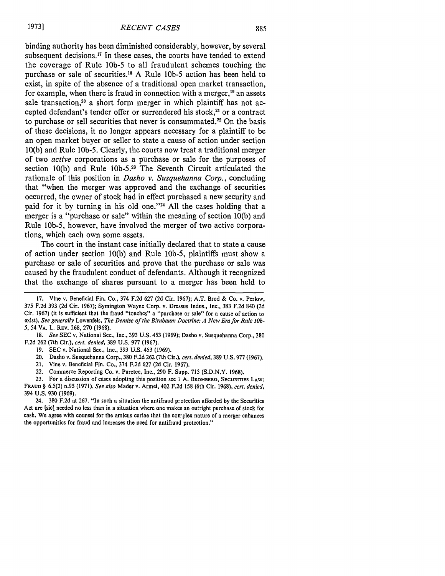binding authority has been diminished considerably, however, by several subsequent decisions.<sup>17</sup> In these cases, the courts have tended to extend the coverage of Rule 10b-5 to all fraudulent schemes touching the purchase or sale of securities."8 A Rule **lOb-5** action has been held to exist, in spite of the absence of a traditional open market transaction, for example, when there is fraud in connection with a merger, $<sup>19</sup>$  an assets</sup> sale transaction, $20$  a short form merger in which plaintiff has not accepted defendant's tender offer or surrendered his stock,<sup>21</sup> or a contract to purchase or sell securities that never is consummated.<sup>22</sup> On the basis of these decisions, it no longer appears necessary for a plaintiff to be an open market buyer or seller to state a cause of action under section 10(b) and Rule 1Ob-5. Clearly, the courts now treat a traditional merger of two *active* corporations as a purchase or sale for the purposes of section 10(b) and Rule **lOb-5.<sup>2</sup> <sup>3</sup>**The Seventh Circuit articulated the rationale of this position in *Dasho v. Susquehanna Corp.,* concluding that "when the merger was approved and the exchange of securities occurred, the owner of stock had in effect purchased a new security and paid for it by turning in his old one."24 All the cases holding that a merger is a "purchase or sale" within the meaning of section 10(b) and Rule lOb-5, however, have involved the merger of two active corporations, which each own some assets.

The court in the instant case initially declared that to state a cause of action under section 10(b) and Rule lOb-5, plaintiffs must show a purchase or sale of securities and prove that the purchase or sale was caused by the fraudulent conduct of defendants. Although it recognized that the exchange of shares pursuant to a merger has been held to

18. *See* SEC v. National Sec., Inc., 393 U.S. 453 (1969); Dasho v. Susquehanna Corp., 380 F.2d 262 (7th Cir.), *cert. denied,* 389 U.S. 977 (1967).

- 19. SEC v. National Sec., Inc., 393 U.S. 453 (1969).
- 20. Dasho v. Susquehanna Corp., 380 F.2d 262 (7th Cir.), *cert. denied,* 389 U.S. 977 (1967).
- 21. Vine v. Beneficial Fin. Co., 374 F.2d 627 (2d Cir. 1967).
- 22. Commerce Reporting Co. v. Puretec, Inc., 290 F. Supp. 715 (S.D.N.Y. 1968).
- **23.** For a discussion of cases adopting this position see **1 A.** BROMBERG, SECURITIES **LAW: FRAUD** § 6.5(2) n.95 (1971). *See also* Mader v. Armel, 402 F.2d 158 (6th Cir. 1968), *cert. denied,*

394 U.S. 930 (1969). 24. 380 F.2d at 267. "In such a situation the antifraud protection afforded by the Securities

Act are [sic] needed no less than in a situation where one makes an outright purchase of stock for cash. We agree with counsel for the amicus curiae that the con-plex nature of a merger enhances the opportunities for fraud and increases the need for antifraud protection."

<sup>17.</sup> Vine v. Beneficial Fin. Co., 374 F.2d 627 (2d Cir. 1967); A.T. Brod & Co. v. Perlow, 375 F.2d 393 (2d Cir. 1967); Symington Wayne Corp. v. Dressus Indus., Inc., 383 F.2d 840 (2d Cir. 1967) (it is sufficient that the fraud "touches" a "purchase or sale" for a cause of action to exist). *See* generally Lowenfels, *The Demise of the Birnbaum Doctrine: A New Era for Rule l0b-5,* 54 VA. L. REv. 268, 270 (1968).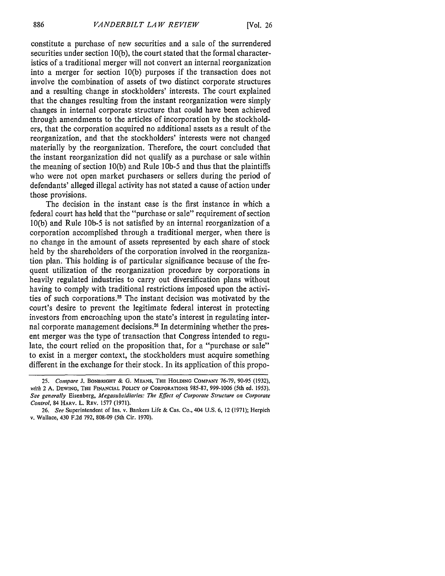constitute a purchase of new securities and a sale of the surrendered securities under section 10(b), the court stated that the formal characteristics of a traditional merger will not convert an internal reorganization into a merger for section 10(b) purposes if the transaction does not involve the combination of assets of two distinct corporate structures and a resulting change in stockholders' interests. The court explained that the changes resulting from the instant reorganization were simply changes in internal corporate structure that could have been achieved through amendments to the articles of incorporation by the stockholders, that the corporation acquired no additional assets as a result of the reorganization, and that the stockholders' interests were not changed materially by the reorganization. Therefore, the court concluded that the instant reorganization did not qualify as a purchase or sale within the meaning of section 10(b) and Rule **lOb-5** and thus that the plaintiffs who were not open market purchasers or sellers during the period of defendants' alleged illegal activity has not stated a cause of action under those provisions.

The decision in the instant case is the first instance in which a federal court has held that the "purchase or sale" requirement of section 10(b) and Rule **lOb-5** is not satisfied by an internal reorganization of a corporation accomplished through a traditional merger, when there is no change in the amount of assets represented by each share of stock held by the shareholders of the corporation involved in the reorganization plan. This holding is of particular significance because of the frequent utilization of the reorganization procedure by corporations in heavily regulated industries to carry out diversification plans without having to comply with traditional restrictions imposed upon the activities of such corporations.<sup>25</sup> The instant decision was motivated by the court's desire to prevent the legitimate federal interest in protecting investors from encroaching upon the state's interest in regulating internal corporate management decisions. 26 In determining whether the present merger was the type of transaction that Congress intended to regulate, the court relied on the proposition that, for a "purchase or sale" to exist in a merger context, the stockholders must acquire something different in the exchange for their stock. In its application of this propo-

**<sup>25.</sup>** *Compare* **J. BONBRIGHT & G. MEANS, THE HOLDING COMPANY** 76-79, **90-95** (1932), *with* 2 **A. DEWING, THE FINANCIAL POLICY OF CORPORATIONS** 985-87, 999-1006 (5th ed. 1953). *See generally* Eisenberg, *Megasubsidiaries: The Effect of Corporate Structure on Corporate Control,* 84 HARV. L. REv. 1577 (1971).

<sup>26.</sup> *See* Superintendent of Ins. v. Bankers Life & Cas. Co., 404 U.S. 6, 12 (1971); Herpich v. Wallace, 430 F.2d 792, 808-09 (5th Cir. 1970).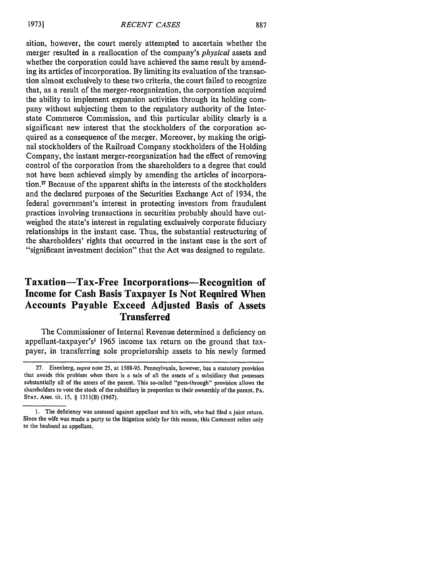sition, however, the court merely attempted to ascertain whether the merger resulted in a reallocation of the company's *physical* assets and whether the corporation could have achieved the same result by amending its articles of incorporation. By limiting its evaluation of the transaction almost exclusively to these two criteria, the court failed to recognize that, as a result of the merger-reorganization, the corporation acquired the ability to implement expansion activities through its holding company without subjecting them to the regulatory authority of the Interstate Commerce Commission, and this particular ability clearly is a significant new interest that the stockholders of the corporation acquired as a consequence of the merger. Moreover, by making the original stockholders of the Railroad Company stockholders of the Holding Company, the instant merger-reorganization had the effect of removing control of the corporation from the shareholders to a degree that could not have been achieved simply by amending the articles of incorporation." Because of the apparent shifts in the interests of the stockholders and the declared purposes of the Securities Exchange Act of 1934, the federal government's interest in protecting investors from fraudulent practices involving transactions in securities probably should have outweighed the state's interest in regulating exclusively corporate fiduciary relationships in the instant case. Thus, the substantial restructuring of the shareholders' rights that occurred in the instant case is the sort of "significant investment decision" that the Act was designed to regulate.

# **Taxation-Tax-Free Incorporations-Recognition of Income for Cash Basis Taxpayer Is Not Required When Accounts Payable Exceed Adjusted Basis of Assets Transferred**

The Commissioner of Internal Revenue determined a deficiency on appellant-taxpayer's' **1965** income tax return on the ground that taxpayer, in transferring sole proprietorship assets to his newly formed

**<sup>27.</sup>** Eisenberg, *supra* note **25,** at **1588-95.** Pennsylvania, however, has a statutory provision that avoids this problem when there is a sale of all the assets of a subsidiary that possesses substantially all of the assets of the parent. This so-called "pass-through" provision allows the shareholders to vote the stock of the subsidiary in proportion to their ownership of the parent. **PA. STAT. ANN. tit. 15,** § **1311(B) (1967).**

**<sup>1.</sup>** The deficiency was assessed against appellant and his wife, who had filed a joint return. Since the wife was made a party to the litigation solely for this reason, this Comment refers only to the husband as appellant.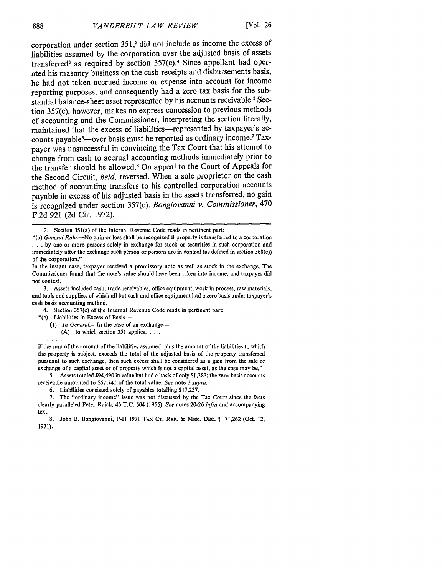corporation under section **351,2** did not include as income the excess of liabilities assumed **by** the corporation over the adjusted basis of assets transferred<sup>3</sup> as required by section 357(c).<sup>4</sup> Since appellant had operated his masonry business on the cash receipts and disbursements basis, he had not taken accrued income or expense into account for income reporting purposes, and consequently had a zero tax basis for the substantial balance-sheet asset represented **by** his accounts receivable.5 Section 357(c), however, makes no express concession to previous methods of accounting and the Commissioner, interpreting the section literally, maintained that the excess of liabilities-represented **by** taxpayer's accounts payable<sup>6</sup>-over basis must be reported as ordinary income.<sup>7</sup> Taxpayer was unsuccessful in convincing the Tax Court that his attempt to change from cash to accrual accounting methods immediately prior to the transfer should be allowed.' On appeal to the Court of Appeals for the Second Circuit, *held,* reversed. When a sole proprietor on the cash method of accounting transfers to his controlled corporation accounts payable in excess of his adjusted basis in the assets transferred, no gain is recognized under section 357(c). *Bongiovanni v. Commissioner,* 470 F.2d 921 (2d Cir. 1972).

- In the instant case, taxpayer received a promissory note as well as stock in the exchange. The Commissioner found that the note's value should have been taken into income, and taxpayer did not contest.
- 3. Assets included cash, trade receivables, office equipment, work in process, raw materials, and tools and supplies, of which all but cash and office equipment had a zero basis under taxpayer's cash basis accounting method.
	- 4. Section 357(c) of the Internal Revenue Code reads in pertinent part:
	- "(c) Liabilities in Excess of Basis.-

. . . .

**(1)** *In General.-In* the case of an exchange-

(A) to which section **351** applies **...**

if the sum of the amount of the liabilities assumed, plus the amount of the liabilities to which the property is subject, exceeds the total of the adjusted basis of the property transferred pursuant to such exchange, then such excess shall be considered as a gain from the sale or exchange of a capital asset or of property which is not a capital asset, as the case may be."

**5.** Assets totaled \$94,490 in value but had a basis of only \$1,383; the zero-basis accounts receivable amounted to \$57,741 of the total value. *See* note 3 *supra.*

6. Liabilities consisted solely of payables totalling \$17,237.

7. The "ordinary income" issue was not discussed by the Tax Court since the facts clearly paralleled Peter Raich, 46 T.C. 604 (1966). *See* notes 20-26 *infra* and accompanying text.

<sup>2.</sup> Section 351(a) of the Internal Revenue Code reads in pertinent part:

<sup>&</sup>quot;(a) *General Rule.-No* gain or loss shall be recognized if property is transferred to a corporation . . by one or more persons solely in exchange for stock or securities in such corporation and immediately after the exchange such person or persons are in control (as defined in section 368(c)) of the corporation."

**<sup>8.</sup>** John B. Bongiovanni, P-H **1971 TAX** Cr. **REP.** & **MEM.** DEc. 71,262 (Oct. 12, 1971).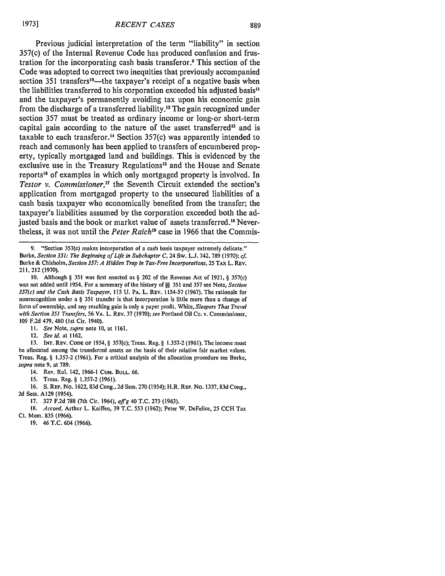889

Previous judicial interpretation of the term "liability" in section 357(c) of the Internal Revenue Code has produced confusion and frustration for the incorporating cash basis transferor? This section of the Code was adopted to correct two inequities that previously accompanied section 351 transfers<sup>10</sup>—the taxpayer's receipt of a negative basis when the liabilities transferred to his corporation exceeded his adjusted basis" and the taxpayer's permanently avoiding tax upon his economic gain from the discharge of a transferred liability. 12 The gain recognized under section **357** must be treated as ordinary income or long-or short-term capital gain according to the nature of the asset transferred<sup>13</sup> and is taxable to each transferor.14 Section **357(c)** was apparently intended to reach and commonly has been applied to transfers of encumbered property, typically mortgaged land and buildings. This is evidenced **by** the exclusive use in the Treasury Regulations<sup>15</sup> and the House and Senate reports<sup>16</sup> of examples in which only mortgaged property is involved. In *Testor v. Commissioner*,<sup>17</sup> the Seventh Circuit extended the section's application from mortgaged property to the unsecured liabilities of a cash basis taxpayer who economically benefited from the transfer; the taxpayer's liabilities assumed **by** the corporation exceeded both the adjusted basis and the book or market value of assets transferred.<sup>18</sup> Nevertheless, it was not until the *Peter Raich"9* case in **1966** that the Commis-

**9.** "Section 357(c) makes incorporation of a cash basis taxpayer extremely delicate." Burke, *Section 351: The Beginning of Life in Subchapter C,* 24 Sw. L.J. 742, 789 (1970); *cf* Burke **&** Chisholm, *Section 357: A Hidden Trap in Tax-Free Incorporations,* 25 **TAX** L. REV. 211, 212 (1970).

10. Although § 351 was first enacted as § 202 of the Revenue Act of 1921, § 357(c) was not added until 1954. For a summary of the history of **§§ 351** and **357** see Note, *Section 357(c) and the Cash Basis Taxpayer,* 115 U. PA. L. REV. 1154-57 (1967). The rationale for nonrecognition under a § 351 transfer is that incorporation is little more than a change of form of ownership, and any resulting gain is only a paper profit. White, *Sleepers That Travel with Section 351 Transfers,* 56 VA. L. REV. 37 (1970); *see* Portland Oil Co. v. Commissioner, 109 F.2d 479, 480 (1st Cir. 1940).

*1I. See* Note, *supra* note **10,** at 1161.

*12. See id.* at 1162.

**13. INT. REV. CODE OF** 1954, § 357(c); Treas. Reg. § 1.357-2 (1961). The income must be allocated among the transferred assets on the basis of their relative fair market values. Treas. Reg. § 1.357-2 (1961). For a critical analysis of the allocation procedure see Burke, *supra* note **9,** at 789.

14. Rev. Rul. 142, 1966-1 CuM. **BULL.** 66.

15. Treas. Reg. § 1.357-2 (1961).

16. S. REP. No. 1622, 83d Cong., 2d Sess. 270 (1954); H.R. REP. No. 1337, 83d Cong., 2d Sess. A129 (1954).

17. 327 F.2d 788 (7th Cir. 1964), *affg* 40 T.C. 273 (1963).

18. *Accord,* Arthur L. Kniffen, 39 T.C. 553 (1962); Peter W. DeFelice, 25 CCH Tax Ct. Mem. 835 (1966).

**19.** 46 T.C. 604 (1966).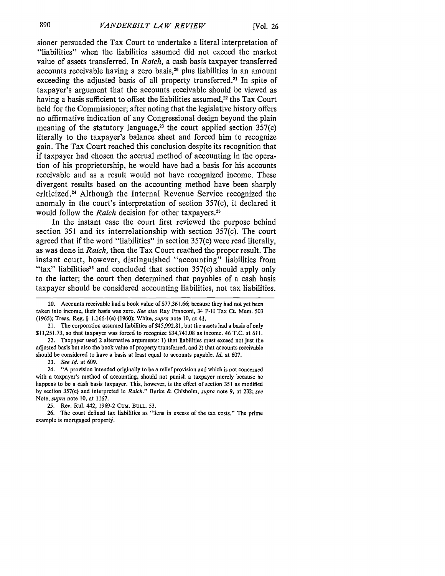sioner persuaded the Tax Court to undertake a literal interpretation of "liabilities" when the liabilities assumed did not exceed the market value of assets transferred. In *Raich,* a cash basis taxpayer transferred accounts receivable having a zero basis,20 **plus** liabilities in an amount exceeding the adjusted basis of all property transferred.<sup>21</sup> In spite of taxpayer's argument that the accounts receivable should be viewed as having a basis sufficient to offset the liabilities assumed,<sup>22</sup> the Tax Court held for the Commissioner; after noting that the legislative history offers no affirmative indication of any Congressional design beyond the plain meaning of the statutory language, $^{23}$  the court applied section 357(c) literally to the taxpayer's balance sheet and forced him to recognize gain. The Tax Court reached this conclusion despite its recognition that if taxpayer had chosen the accrual method of accounting in the operation of his proprietorship, he would have had a basis for his accounts receivable and as a result would not have recognized income. These divergent results based on the accounting method have been sharply criticized.24 Although the Internal Revenue Service recognized the anomaly in the court's interpretation of section 357(c), it declared it would follow the *Raich* decision for other taxpayers.<sup>25</sup>

In the instant case the court first reviewed the purpose behind section **351** and its interrelationship with section 357(c). The court agreed that if the word "liabilities" in section 357(c) were read literally, as was done in *Raich,* then the Tax Court reached the proper result. The instant court, however, distinguished "accounting" liabilities from "tax" liabilities<sup>26</sup> and concluded that section  $357(c)$  should apply only to the latter; the court then determined that payables of a cash basis taxpayer should be considered accounting liabilities, not tax liabilities.

21. The corporation assumed liabilities of **\$45,992.81,** but the assets had a basis of only **\$11,251.73,** so that taxpayer was forced to recognize \$34,741.08 as income. 46 T.C. at 611.

22. Taxpayer used 2 alternative arguments: **1)** that liabilities must exceed not just the adjusted basis but also the book value of property transferred, and 2) that accounts receivable should be considered to have a basis at least equal to accounts payable. *Id.* at 607.

23. *See Id.* at 609.

24. "A provision intended originally to be a relief provision and which is not concerned with a taxpayer's method of accounting, should not punish a taxpayer merely because he happens to be a cash basis taxpayer. This, however, is the effect of section **351** as modified **by** section 357(c) and interpreted in *Raich."* Burke **&** Chisholm, *supra* note **9,** at **232;** *see* Note, *supra* note **10,** at 1167.

**25.** Rev. Rul. 442, **1969-2** CuM. **BULL. 53.**

26. The court defined tax liabilities as "liens in excess of the tax costs." The prime example is mortgaged property.

<sup>20.</sup> Accounts receivable had a book value of \$77,361.66; because they had not yet been taken into income, their basis was zero. *See also* Ray Franconi, 34 P-H Tax Ct. Mem. 503 (1965); Treas. Reg. § 1.166-1(e) (1960); White, *supra* note **10,** at 41.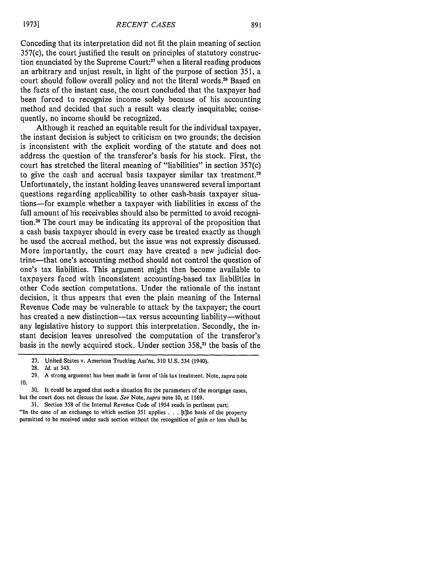Conceding that its interpretation did not fit the plain meaning of section 357(c), the court justified the result on principles of statutory construction enunciated by the Supreme Court:<sup>27</sup> when a literal reading produces an arbitrary and unjust result, in light of the purpose of section 351, a court should follow overall policy and not the literal words.<sup>28</sup> Based on the facts of the instant case, the court concluded that the taxpayer had been forced to recognize income solely because of his accounting method and decided that such a result was clearly inequitable; consequently, no income should be recognized.

Although it reached an equitable result for the individual taxpayer, the instant decision is subject to criticism on two grounds; the decision is inconsistent with the explicit wording of the statute and does not address the question of the transferor's basis for his stock. First, the court has stretched the literal meaning of "liabilities" in section 357(c) to give the cash and accrual basis taxpayer similar tax treatment.<sup>29</sup> Unfortunately, the instant holding leaves unanswered several important questions regarding applicability to other cash-basis taxpayer situations-for example whether a taxpayer with liabilities in excess of the full amount of his receivables should also be permitted to avoid recognition.<sup>30</sup> The court may be indicating its approval of the proposition that a cash basis taxpayer should in every case be treated exactly as though he used the accrual method, but the issue was not expressly discussed. More importantly, the court may have created a new judicial doctrine-that one's accounting method should not control the question of one's tax liabilities. This argument might then become available to taxpayers faced with inconsistent accounting-based tax liabilities in other Code section computations. Under the rationale of the instant decision, it thus appears that even the plain meaning of the Internal Revenue Code may be vulnerable to attack by the taxpayer; the court has created a new distinction-tax versus accounting liability-without any legislative history to support this interpretation. Secondly, the instant decision leaves unresolved the computation of the transferor's basis in the newly acquired stock. Under section 358,<sup>31</sup> the basis of the

<sup>27.</sup> United States v. American Trucking Ass'ns, 310 U.S. 534 (1940).

<sup>28.</sup> *Id.* at 543.

<sup>29.</sup> A strong argument has been made in favor of this tax treatment. Note, *supra* note 10.

<sup>30.</sup> It could be argued that such a situation fits the parameters of the mortgage cases, but the court does not discuss the issue. *See* Note, *supra* note 10, at 1169.

<sup>31.</sup> Section 358 of the Internal Revenue Code of 1954 reads in pertinent part: "In the case of an exchange to which section 351 applies ...[t]he basis of the property permitted to be received under such section without the recognition of gain or loss shall be